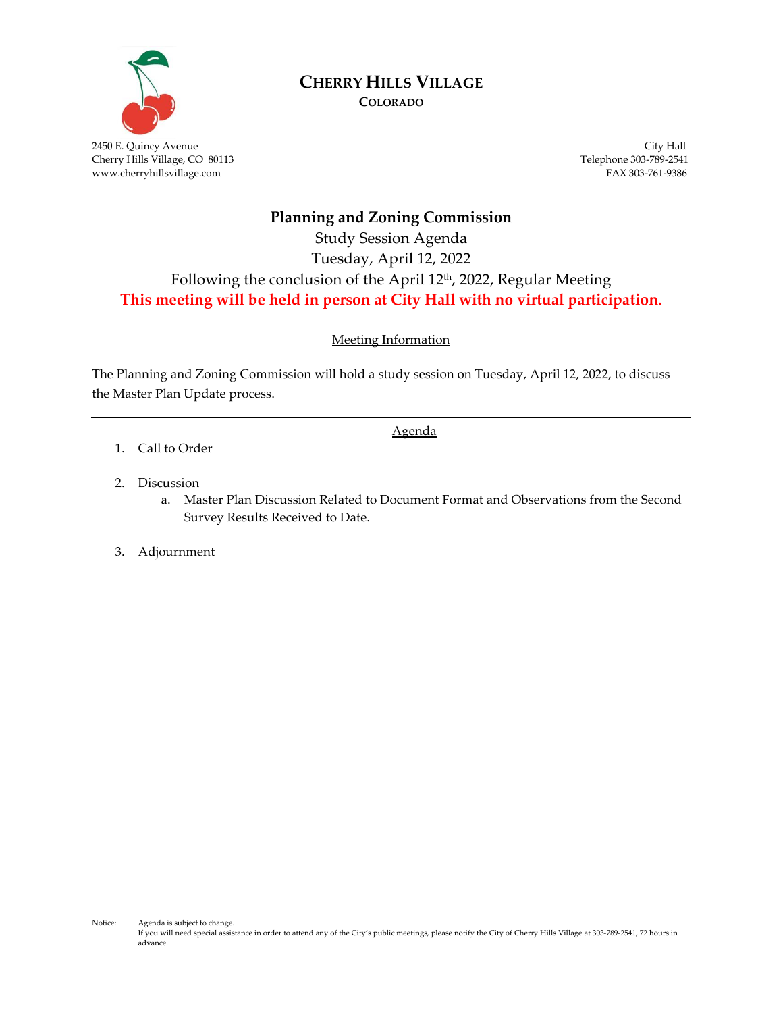

# **CHERRY HILLS VILLAGE**

**COLORADO**

2450 E. Quincy Avenue City Hall Cherry Hills Village, CO 80113 Telephone 303-789-2541<br>www.cherryhillsvillage.com FAX 303-761-9386 www.cherryhillsvillage.com

## **Planning and Zoning Commission**

## Study Session Agenda Tuesday, April 12, 2022 Following the conclusion of the April 12 th , 2022, Regular Meeting **This meeting will be held in person at City Hall with no virtual participation.**

### Meeting Information

The Planning and Zoning Commission will hold a study session on Tuesday, April 12, 2022, to discuss the Master Plan Update process.

Agenda

- 1. Call to Order
- 2. Discussion
	- a. Master Plan Discussion Related to Document Format and Observations from the Second Survey Results Received to Date.

### 3. Adjournment